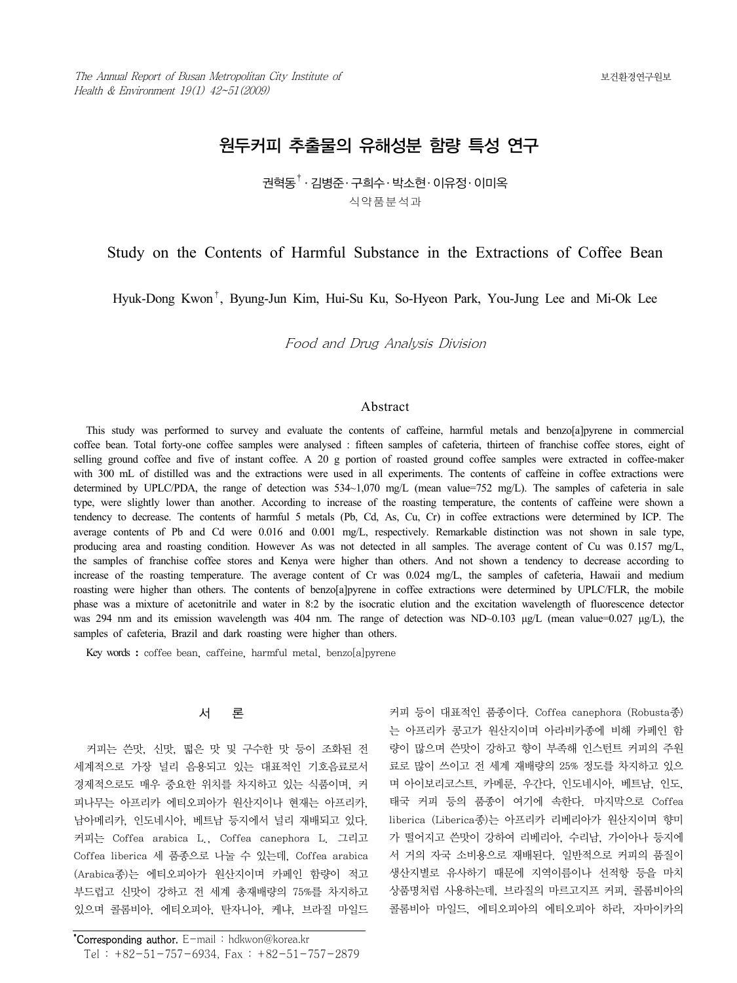# 원두커피 추출물의 유해성분 함량 특성 연구

## 권혁동† ․ 김병준․ 구희수․ 박소현․ 이유정․ 이미옥 식약품분석과

### Study on the Contents of Harmful Substance in the Extractions of Coffee Bean

Hyuk-Dong Kwon†, Byung-Jun Kim, Hui-Su Ku, So-Hyeon Park, You-Jung Lee and Mi-Ok Lee

Food and Drug Analysis Division

#### Abstract

This study was performed to survey and evaluate the contents of caffeine, harmful metals and benzo[a]pyrene in commercial coffee bean. Total forty-one coffee samples were analysed : fifteen samples of cafeteria, thirteen of franchise coffee stores, eight of selling ground coffee and five of instant coffee. A 20 g portion of roasted ground coffee samples were extracted in coffee-maker with 300 mL of distilled was and the extractions were used in all experiments. The contents of caffeine in coffee extractions were determined by UPLC/PDA, the range of detection was  $534~1,070$  mg/L (mean value=752 mg/L). The samples of cafeteria in sale type, were slightly lower than another. According to increase of the roasting temperature, the contents of caffeine were shown a tendency to decrease. The contents of harmful 5 metals (Pb, Cd, As, Cu, Cr) in coffee extractions were determined by ICP. The average contents of Pb and Cd were 0.016 and 0.001 mg/L, respectively. Remarkable distinction was not shown in sale type, producing area and roasting condition. However As was not detected in all samples. The average content of Cu was 0.157 mg/L, the samples of franchise coffee stores and Kenya were higher than others. And not shown a tendency to decrease according to increase of the roasting temperature. The average content of Cr was 0.024 mg/L, the samples of cafeteria, Hawaii and medium roasting were higher than others. The contents of benzo[a]pyrene in coffee extractions were determined by UPLC/FLR, the mobile phase was a mixture of acetonitrile and water in 8:2 by the isocratic elution and the excitation wavelength of fluorescence detector was 294 nm and its emission wavelength was 404 nm. The range of detection was ND~0.103 μg/L (mean value=0.027 μg/L), the samples of cafeteria, Brazil and dark roasting were higher than others.

Key words **:** coffee bean, caffeine, harmful metal, benzo[a]pyrene

#### 서 론

커피는 쓴맛, 신맛, 떫은 맛 및 구수한 맛 등이 조화된 전 세계적으로 가장 널리 음용되고 있는 대표적인 기호음료로서 경제적으로도 매우 중요한 위치를 차지하고 있는 식품이며, 커 피나무는 아프리카 에티오피아가 원산지이나 현재는 아프리카, 남아메리카, 인도네시아, 베트남 등지에서 널리 재배되고 있다. 커피는 Coffea arabica L., Coffea canephora L. 그리고 Coffea liberica 세 품종으로 나눌 수 있는데, Coffea arabica (Arabica종)는 에티오피아가 원산지이며 카페인 함량이 적고 부드럽고 신맛이 강하고 전 세계 총재배량의 75%를 차지하고 있으며 콜롬비아, 에티오피아, 탄자니아, 케냐, 브라질 마일드

커피 등이 대표적인 품종이다. Coffea canephora (Robusta종) 는 아프리카 콩고가 원산지이며 아라비카종에 비해 카페인 함 량이 많으며 쓴맛이 강하고 향이 부족해 인스턴트 커피의 주원 료로 많이 쓰이고 전 세계 재배량의 25% 정도를 차지하고 있으 며 아이보리코스트, 카메룬, 우간다, 인도네시아, 베트남, 인도, 태국 커피 등의 품종이 여기에 속한다. 마지막으로 Coffea liberica (Liberica종)는 아프리카 리베리아가 원산지이며 향미 가 떨어지고 쓴맛이 강하여 리베리아, 수리남, 가이아나 등지에 서 거의 자국 소비용으로 재배된다. 일반적으로 커피의 품질이 생산지별로 유사하기 때문에 지역이름이나 선적항 등을 마치 상품명처럼 사용하는데, 브라질의 마르고지프 커피, 콜롬비아의 콜롬비아 마일드, 에티오피아의 에티오피아 하라, 자마이카의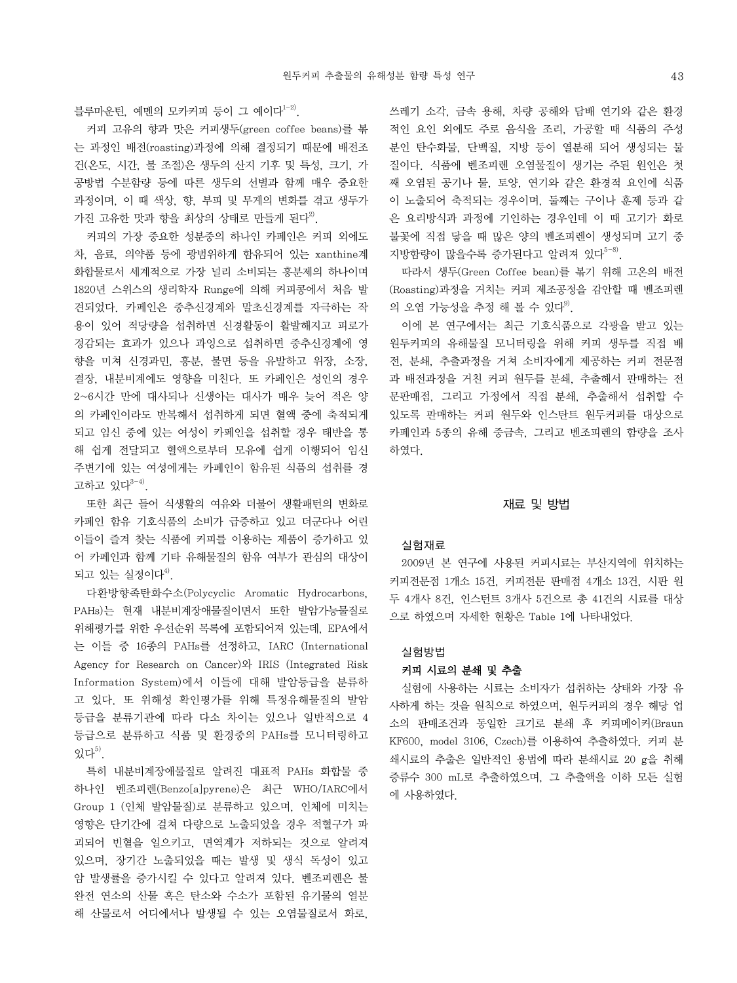블루마우틴, 예멘의 모카커피 등이 그 예이다<sup>1-2)</sup>.

커피 고유의 향과 맛은 커피생두(green coffee beans)를 볶 는 과정인 배전(roasting)과정에 의해 결정되기 때문에 배전조 건(온도, 시간, 불 조절)은 생두의 산지 기후 및 특성, 크기, 가 공방법 수분함량 등에 따른 생두의 선별과 함께 매우 중요한 과정이며, 이 때 색상, 향, 부피 및 무게의 변화를 겪고 생두가 가진 고유한 맛과 향을 최상의 상태로 만들게 된다<sup>2)</sup>.

커피의 가장 중요한 성분중의 하나인 카페인은 커피 외에도 차, 음료, 의약품 등에 광범위하게 함유되어 있는 xanthine계 화합물로서 세계적으로 가장 널리 소비되는 흥분제의 하나이며 1820년 스위스의 생리학자 Runge에 의해 커피콩에서 처음 발 견되었다. 카페인은 중추신경계와 말초신경계를 자극하는 작 용이 있어 적당량을 섭취하면 신경활동이 활발해지고 피로가 경감되는 효과가 있으나 과잉으로 섭취하면 중추신경계에 영 향을 미쳐 신경과민, 흥분, 불면 등을 유발하고 위장, 소장, 결장, 내분비계에도 영향을 미친다. 또 카페인은 성인의 경우 2~6시간 만에 대사되나 신생아는 대사가 매우 늦어 적은 양 의 카페인이라도 반복해서 섭취하게 되면 혈액 중에 축적되게 되고 임신 중에 있는 여성이 카페인을 섭취할 경우 태반을 통 해 쉽게 전달되고 혈액으로부터 모유에 쉽게 이행되어 임신 주변기에 있는 여성에게는 카페인이 함유된 식품의 섭취를 경 고하고 있다 $3-4$ .

또한 최근 들어 식생활의 여유와 더불어 생활패턴의 변화로 카페인 함유 기호식품의 소비가 급증하고 있고 더군다나 어린 이들이 즐겨 찾는 식품에 커피를 이용하는 제품이 증가하고 있 어 카페인과 함께 기타 유해물질의 함유 여부가 관심의 대상이 되고 있는 실정이다 $4^9$ .

다환방향족탄화수소(Polycyclic Aromatic Hydrocarbons, PAHs)는 현재 내분비계장애물질이면서 또한 발암가능물질로 위해평가를 위한 우선순위 목록에 포함되어져 있는데, EPA에서 는 이들 중 16종의 PAHs를 선정하고, IARC (International Agency for Research on Cancer)와 IRIS (Integrated Risk Information System)에서 이들에 대해 발암등급을 분류하 고 있다. 또 위해성 확인평가를 위해 특정유해물질의 발암 등급을 분류기관에 따라 다소 차이는 있으나 일반적으로 4 등급으로 분류하고 식품 및 환경중의 PAHs를 모니터링하고 있다 $^{5)}$ 

특히 내분비계장애물질로 알려진 대표적 PAHs 화합물 중 하나인 벤조피렌(Benzo[a]pyrene)은 최근 WHO/IARC에서 Group 1 (인체 발암물질)로 분류하고 있으며, 인체에 미치는 영향은 단기간에 걸쳐 다량으로 노출되었을 경우 적혈구가 파 괴되어 빈혈을 일으키고, 면역계가 저하되는 것으로 알려져 있으며, 장기간 노출되었을 때는 발생 및 생식 독성이 있고 암 발생률을 증가시킬 수 있다고 알려져 있다. 벤조피렌은 불 완전 연소의 산물 혹은 탄소와 수소가 포함된 유기물의 열분 해 산물로서 어디에서나 발생될 수 있는 오염물질로서 화로,

쓰레기 소각, 금속 용해, 차량 공해와 담배 연기와 같은 환경 적인 요인 외에도 주로 음식을 조리, 가공할 때 식품의 주성 분인 탄수화물, 단백질, 지방 등이 열분해 되어 생성되는 물 질이다. 식품에 벤조피렌 오염물질이 생기는 주된 원인은 첫 째 오염된 공기나 물, 토양, 연기와 같은 환경적 요인에 식품 이 노출되어 축적되는 경우이며, 둘째는 구이나 훈제 등과 같 은 요리방식과 과정에 기인하는 경우인데 이 때 고기가 화로 불꽃에 직접 닿을 때 많은 양의 벤조피렌이 생성되며 고기 중 지방함량이 많을수록 증가된다고 알려져 있다<sup>5-8)</sup>.

따라서 생두(Green Coffee bean)를 볶기 위해 고온의 배전 (Roasting)과정을 거치는 커피 제조공정을 감안할 때 벤조피렌 의 오염 가능성을 추정 해 볼 수 있다 $9$ .

이에 본 연구에서는 최근 기호식품으로 각광을 받고 있는 원두커피의 유해물질 모니터링을 위해 커피 생두를 직접 배 전, 분쇄, 추출과정을 거쳐 소비자에게 제공하는 커피 전문점 과 배전과정을 거친 커피 원두를 분쇄, 추출해서 판매하는 전 문판매점, 그리고 가정에서 직접 분쇄, 추출해서 섭취할 수 있도록 판매하는 커피 원두와 인스탄트 원두커피를 대상으로 카페인과 5종의 유해 중금속, 그리고 벤조피렌의 함량을 조사 하였다.

#### 재료 및 방법

#### 실험재료

2009년 본 연구에 사용된 커피시료는 부산지역에 위치하는 커피전문점 1개소 15건, 커피전문 판매점 4개소 13건, 시판 원 두 4개사 8건, 인스턴트 3개사 5건으로 총 41건의 시료를 대상 으로 하였으며 자세한 현황은 Table 1에 나타내었다.

#### 실험방법

#### 커피 시료의 분쇄 및 추출

실험에 사용하는 시료는 소비자가 섭취하는 상태와 가장 유 사하게 하는 것을 원칙으로 하였으며, 원두커피의 경우 해당 업 소의 판매조건과 동일한 크기로 분쇄 후 커피메이커(Braun KF600, model 3106, Czech)를 이용하여 추출하였다. 커피 분 쇄시료의 추출은 일반적인 용법에 따라 분쇄시료 20 g을 취해 증류수 300 mL로 추출하였으며, 그 추출액을 이하 모든 실험 에 사용하였다.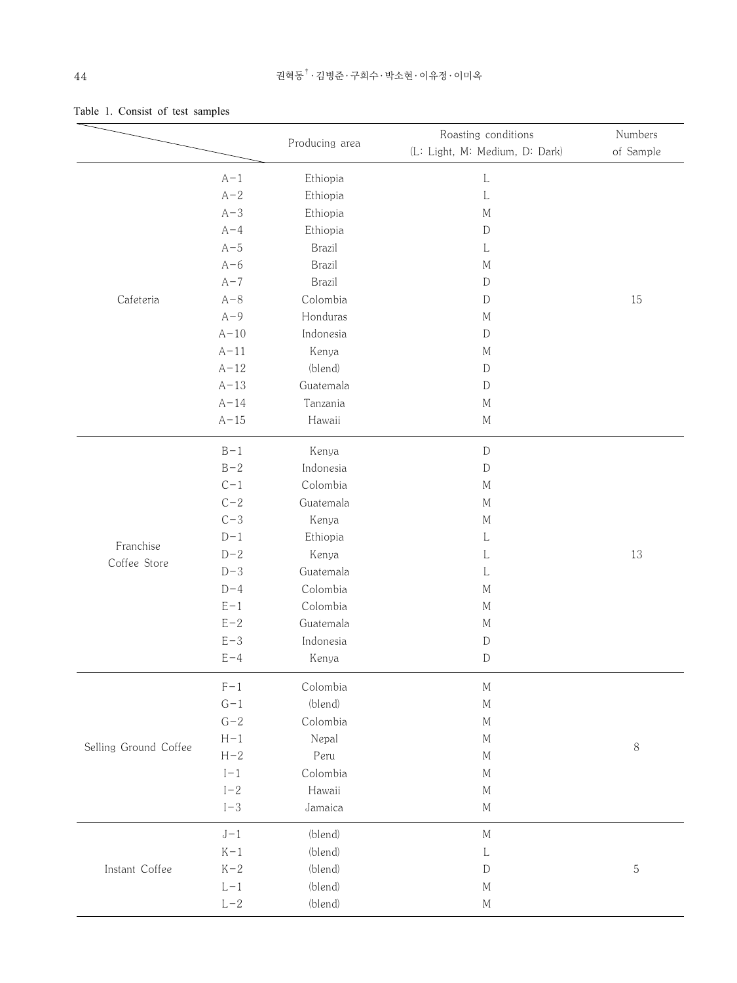|                       |                         |                | Roasting conditions            | Numbers     |
|-----------------------|-------------------------|----------------|--------------------------------|-------------|
|                       |                         | Producing area | (L: Light, M: Medium, D: Dark) | of Sample   |
|                       | $A-1$                   | Ethiopia       | L                              |             |
|                       | $A-2$                   | Ethiopia       | L                              |             |
|                       | $A-3$                   | Ethiopia       | $\mathbf M$                    |             |
|                       | $A - 4$                 | Ethiopia       | $\mathbf D$                    |             |
|                       | $A-5$                   | <b>Brazil</b>  | L                              |             |
|                       | $A-6$                   | <b>Brazil</b>  | $\mathbf M$                    |             |
|                       | $A-7$                   | <b>Brazil</b>  | D                              |             |
| Cafeteria             | $A-8$                   | Colombia       | D                              | 15          |
|                       | $A-9$                   | Honduras       | $\mathbf M$                    |             |
|                       | $A-10$                  | Indonesia      | $\mathbf D$                    |             |
|                       | $A-11$                  | Kenya          | $\mathbf M$                    |             |
|                       | $A-12$                  | (blend)        | D                              |             |
|                       | $A-13$                  | Guatemala      | $\mathbf D$                    |             |
|                       | $A-14$                  | Tanzania       | М                              |             |
|                       | $A-15$                  | Hawaii         | $M_{\rm 1}$                    |             |
|                       | $B-1$                   | Kenya          | $\mathbb D$                    |             |
|                       | $B-2$                   | Indonesia      | D                              |             |
|                       | $C-1$                   | Colombia       | $\mathbf M$                    |             |
|                       | $C-2$                   | Guatemala      | $\mathbf M$                    |             |
|                       | $C-3$                   | Kenya          | $\mathbf M$                    |             |
| Franchise             | $D-1$                   | Ethiopia       | L                              |             |
| Coffee Store          | $D-2$                   | Kenya          | L                              | 13          |
|                       | $D-3$                   | Guatemala      | L                              |             |
|                       | $D-4$                   | Colombia       | $\mathbf M$                    |             |
|                       | $E-1$                   | Colombia       | $\mathbf M$                    |             |
|                       | $E-2$                   | Guatemala      | $\mathbf M$                    |             |
|                       | $E-3$                   | Indonesia      | $\mathbb D$                    |             |
|                       | $E - 4$                 | Kenya          | $\mathbf D$                    |             |
|                       | $F-1$                   | Colombia       | $\mathbf M$                    |             |
|                       | $G-1$                   | (blend)        | $\mathbf M$                    |             |
|                       | $G-2$                   | Colombia       | $\mathbf M$                    |             |
| Selling Ground Coffee | $H-1$                   | Nepal          | $\mathbf{M}$                   | $8\,$       |
|                       | $H-2$                   | Peru           | $\mathbf M$                    |             |
|                       | $\mathbf{l}-\mathbf{1}$ | Colombia       | $\mathbf M$                    |             |
|                       | $I-2$                   | Hawaii         | $\mathbf{M}$                   |             |
|                       | $\mathrm{I}\!-\!3$      | Jamaica        | $\mathbf{M}$                   |             |
|                       | $J-1$                   | (blend)        | $\mathbf M$                    |             |
|                       | $K-1$                   | (blend)        | L                              |             |
| Instant Coffee        | $K-2$                   | (blend)        | $\mathbf D$                    | $\mathbf 5$ |
|                       | $L-1$                   | (blend)        | $\mathbf{M}$                   |             |
|                       | $L-2$                   | (blend)        | $\mathbf M$                    |             |

|  | Table 1. Consist of test samples |  |  |
|--|----------------------------------|--|--|
|  |                                  |  |  |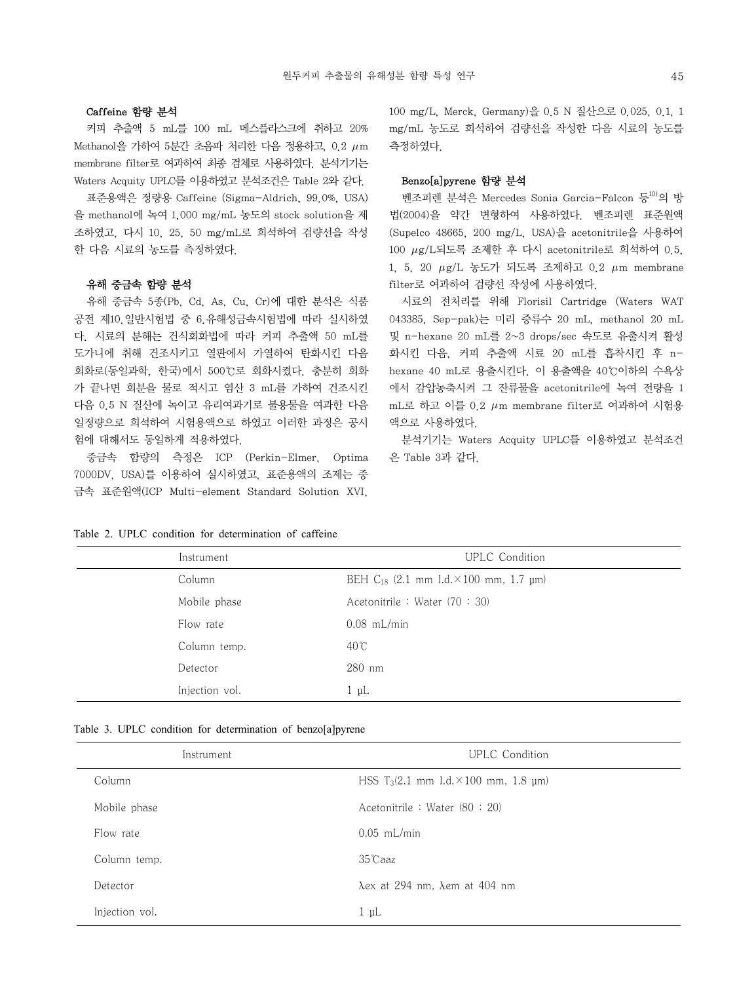#### Caffeine 함량 분석

커피 추출액 5 mL를 100 mL 메스플라스크에 취하고 20% Methanol을 가하여 5분간 초음파 처리한 다음 정용하고, 0.2  $\mu$ m membrane filter로 여과하여 최종 검체로 사용하였다. 분석기기는 Waters Acquity UPLC를 이용하였고 분석조건은 Table 2와 같다.

표준용액은 정량용 Caffeine (Sigma-Aldrich, 99.0%, USA) 을 methanol에 녹여 1,000 mg/mL 농도의 stock solution을 제 조하였고, 다시 10, 25, 50 mg/mL로 희석하여 검량선을 작성 한 다음 시료의 농도를 측정하였다.

#### 유해 중금속 함량 분석

유해 중금속 5종(Pb, Cd, As, Cu, Cr)에 대한 분석은 식품 공전 제10.일반시험법 중 6.유해성금속시험법에 따라 실시하였 다. 시료의 분해는 건식회화법에 따라 커피 추출액 50 mL를 도가니에 취해 건조시키고 열판에서 가열하여 탄화시킨 다음 회화로(동일과학, 한국)에서 500℃로 회화시켰다. 충분히 회화 가 끝나면 회분을 물로 적시고 염산 3 mL를 가하여 건조시킨 다음 0.5 N 질산에 녹이고 유리여과기로 불용물을 여과한 다음 일정량으로 희석하여 시험용액으로 하였고 이러한 과정은 공시 험에 대해서도 동일하게 적용하였다.

중금속 함량의 측정은 ICP (Perkin-Elmer, Optima 7000DV, USA)를 이용하여 실시하였고, 표준용액의 조제는 중 금속 표준원액(ICP Multi-element Standard Solution XVI,

100 mg/L, Merck, Germany)을 0.5 N 질산으로 0.025, 0.1, 1 mg/mL 농도로 희석하여 검량선을 작성한 다음 시료의 농도를 측정하였다.

#### Benzo[a]pyrene 함량 분석

벤조피렌 분석은 Mercedes Sonia Garcia-Falcon 등<sup>10)</sup>의 방 법(2004)을 약간 변형하여 사용하였다. 벤조피렌 표준원액 (Supelco 48665, 200 mg/L, USA)을 acetonitrile을 사용하여 100 g/L되도록 조제한 후 다시 acetonitrile로 희석하여 0.5, 1, 5, 20  $\mu$ g/L 농도가 되도록 조제하고 0.2  $\mu$ m membrane filter로 여과하여 검량선 작성에 사용하였다.

시료의 전처리를 위해 Florisil Cartridge (Waters WAT 043385, Sep-pak)는 미리 증류수 20 mL, methanol 20 mL 및 n-hexane 20 mL를 2~3 drops/sec 속도로 유출시켜 활성 화시킨 다음, 커피 추출액 시료 20 mL를 흡착시킨 후 nhexane 40 mL로 용출시킨다. 이 용출액을 40℃이하의 수욕상 에서 감압농축시켜 그 잔류물을 acetonitrile에 녹여 전량을 1 mL로 하고 이를 0.2  $\mu$ m membrane filter로 여과하여 시험용 액으로 사용하였다.

분석기기는 Waters Acquity UPLC를 이용하였고 분석조건 은 Table 3과 같다.

| Instrument     | <b>UPLC</b> Condition                              |  |  |
|----------------|----------------------------------------------------|--|--|
| Column         | BEH $C_{18}$ (2.1 mm I.d. $\times$ 100 mm, 1.7 µm) |  |  |
| Mobile phase   | Acetonitrile : Water (70 : 30)                     |  |  |
| Flow rate      | $0.08$ mL/min                                      |  |  |
| Column temp.   | $40^{\circ}$ C                                     |  |  |
| Detector       | $280$ nm                                           |  |  |
| Injection vol. | $1 \mu L$                                          |  |  |

#### Table 2. UPLC condition for determination of caffeine

|  |  |  |  |  |  |  | Table 3. UPLC condition for determination of benzo[a]pyrene |
|--|--|--|--|--|--|--|-------------------------------------------------------------|
|--|--|--|--|--|--|--|-------------------------------------------------------------|

| Instrument     | <b>UPLC</b> Condition                                    |
|----------------|----------------------------------------------------------|
| Column         | HSS T <sub>3</sub> (2.1 mm I.d. $\times$ 100 mm, 1.8 µm) |
| Mobile phase   | Acetonitrile : Water (80 : 20)                           |
| Flow rate      | $0.05$ mL/min                                            |
| Column temp.   | $35^\circ$ Caaz                                          |
| Detector       | $\lambda$ ex at 294 nm, $\lambda$ em at 404 nm           |
| Injection vol. | $1 \mu L$                                                |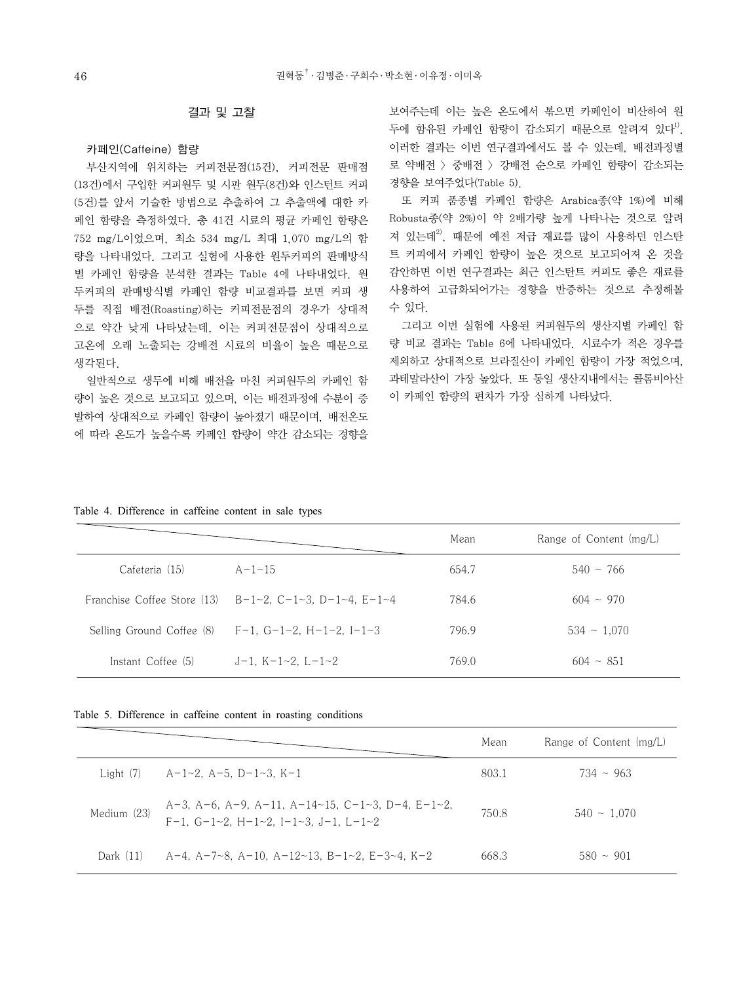#### 결과 및 고찰

#### 카페인(Caffeine) 함량

부산지역에 위치하는 커피전문점(15건), 커피전문 판매점 (13건)에서 구입한 커피원두 및 시판 원두(8건)와 인스턴트 커피 (5건)를 앞서 기술한 방법으로 추출하여 그 추출액에 대한 카 페인 함량을 측정하였다. 총 41건 시료의 평균 카페인 함량은 752 mg/L이었으며, 최소 534 mg/L 최대 1,070 mg/L의 함 량을 나타내었다. 그리고 실험에 사용한 원두커피의 판매방식 별 카페인 함량을 분석한 결과는 Table 4에 나타내었다. 원 두커피의 판매방식별 카페인 함량 비교결과를 보면 커피 생 두를 직접 배전(Roasting)하는 커피전문점의 경우가 상대적 으로 약간 낮게 나타났는데, 이는 커피전문점이 상대적으로 고온에 오래 노출되는 강배전 시료의 비율이 높은 때문으로 생각된다.

일반적으로 생두에 비해 배전을 마친 커피원두의 카페인 함 량이 높은 것으로 보고되고 있으며, 이는 배전과정에 수분이 증 발하여 상대적으로 카페인 함량이 높아졌기 때문이며, 배전온도 에 따라 온도가 높을수록 카페인 함량이 약간 감소되는 경향을 보여주는데 이는 높은 온도에서 볶으면 카페인이 비산하여 원 두에 함유된 카페인 함량이 감소되기 때문으로 알려져 있다<sup>1)</sup>. 이러한 결과는 이번 연구결과에서도 볼 수 있는데, 배전과정별 로 약배전 > 중배전 > 강배전 순으로 카페인 함량이 감소되는 경향을 보여주었다(Table 5).

또 커피 품종별 카페인 함량은 Arabica종(약 1%)에 비해 Robusta종(약 2%)이 약 2배가량 높게 나타나는 것으로 알려 져 있는데<sup>2)</sup>, 때문에 예전 저급 재료를 많이 사용하던 인스탄 트 커피에서 카페인 함량이 높은 것으로 보고되어져 온 것을 감안하면 이번 연구결과는 최근 인스탄트 커피도 좋은 재료를 사용하여 고급화되어가는 경향을 반증하는 것으로 추정해볼 수 있다.

그리고 이번 실험에 사용된 커피원두의 생산지별 카페인 함 량 비교 결과는 Table 6에 나타내었다. 시료수가 적은 경우를 제외하고 상대적으로 브라질산이 카페인 함량이 가장 적었으며, 과테말라산이 가장 높았다. 또 동일 생산지내에서는 콜롬비아산 이 카페인 함량의 편차가 가장 심하게 나타났다.

| Table 4. Difference in caffeine content in sale types |  |  |  |  |
|-------------------------------------------------------|--|--|--|--|
|                                                       |  |  |  |  |

|                             |                                   | Mean  | Range of Content (mg/L) |
|-----------------------------|-----------------------------------|-------|-------------------------|
| Cafeteria (15)              | $A - 1 - 15$                      | 654.7 | $540 \sim 766$          |
| Franchise Coffee Store (13) | $B-1-2$ , C-1-3, D-1-4, E-1-4     | 784.6 | $604 \sim 970$          |
| Selling Ground Coffee (8)   | F-1. G-1~2. H-1~2. I-1~3          | 796.9 | $534 \sim 1.070$        |
| Instant Coffee (5)          | $J-1$ , K $-1$ $-2$ , L $-1$ $-2$ | 769.0 | $604 \sim 851$          |

Table 5. Difference in caffeine content in roasting conditions

|             |                                                                                                                       | Mean  | Range of Content (mg/L) |
|-------------|-----------------------------------------------------------------------------------------------------------------------|-------|-------------------------|
| Light $(7)$ | - A-1~2. A-5. D-1~3. K-1                                                                                              | 803.1 | $734 \sim 963$          |
| Medium (23) | A-3, A-6, A-9, A-11, A-14~15, C-1~3, D-4, E-1~2,<br>$F-1$ , $G-1\sim2$ , $H-1\sim2$ , $I-1\sim3$ , $J-1$ , $L-1\sim2$ | 750.8 | $540 \sim 1.070$        |
| Dark $(11)$ | - A-4, A-7~8, A-10, A-12~13, B-1~2, E-3~4, K-2                                                                        | 668.3 | $580 \sim 901$          |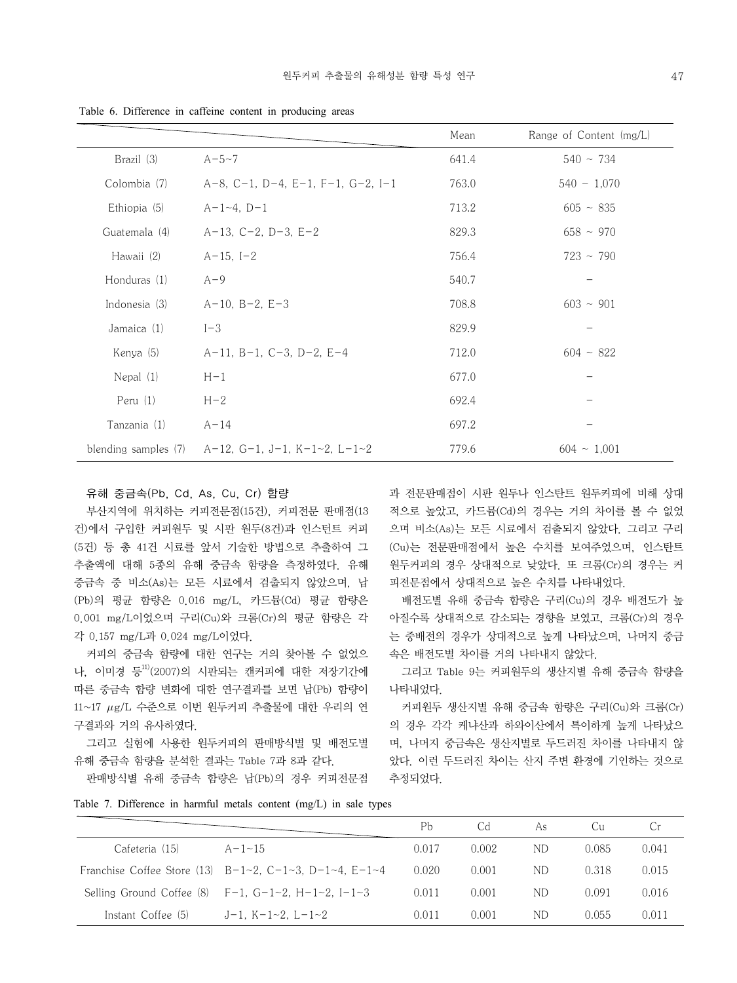|               |                                                                 | Mean  | Range of Content (mg/L) |
|---------------|-----------------------------------------------------------------|-------|-------------------------|
| Brazil (3)    | $A - 5 - 7$                                                     | 641.4 | $540 \sim 734$          |
| Colombia (7)  | $A-8$ , C-1, D-4, E-1, F-1, G-2, I-1                            | 763.0 | $540 \sim 1,070$        |
| Ethiopia (5)  | $A-1-4$ , $D-1$                                                 | 713.2 | $605 - 835$             |
| Guatemala (4) | $A-13$ , $C-2$ , $D-3$ , $E-2$                                  | 829.3 | $658 \sim 970$          |
| Hawaii (2)    | $A-15, I-2$                                                     | 756.4 | $723 \sim 790$          |
| Honduras (1)  | $A-9$                                                           | 540.7 |                         |
| Indonesia (3) | $A-10$ , $B-2$ , $E-3$                                          | 708.8 | $603 \sim 901$          |
| Jamaica (1)   | $I-3$                                                           | 829.9 |                         |
| Kenya (5)     | $A-11$ , $B-1$ , $C-3$ , $D-2$ , $E-4$                          | 712.0 | $604 \sim 822$          |
| Nepal (1)     | $H-1$                                                           | 677.0 |                         |
| Peru $(1)$    | $H-2$                                                           | 692.4 |                         |
| Tanzania (1)  | $A - 14$                                                        | 697.2 |                         |
|               | blending samples (7) $A-12$ , $G-1$ , $J-1$ , $K-1-2$ , $L-1-2$ | 779.6 | $604 \sim 1,001$        |

Table 6. Difference in caffeine content in producing areas

#### 유해 중금속(Pb, Cd, As, Cu, Cr) 함량

부산지역에 위치하는 커피전문점(15건), 커피전문 판매점(13 건)에서 구입한 커피원두 및 시판 원두(8건)과 인스턴트 커피 (5건) 등 총 41건 시료를 앞서 기술한 방법으로 추출하여 그 추출액에 대해 5종의 유해 중금속 함량을 측정하였다. 유해 중금속 중 비소(As)는 모든 시료에서 검출되지 않았으며, 납 (Pb)의 평균 함량은 0.016 mg/L, 카드뮴(Cd) 평균 함량은 0.001 mg/L이었으며 구리(Cu)와 크롬(Cr)의 평균 함량은 각 각 0.157 mg/L과 0.024 mg/L이었다.

커피의 중금속 함량에 대한 연구는 거의 찾아볼 수 없었으 나, 이미경 등 $^{11}$ (2007)의 시판되는 캔커피에 대한 저장기간에 따른 중금속 함량 변화에 대한 연구결과를 보면 납(Pb) 함량이  $11~17$   $\mu$ g/L 수준으로 이번 원두커피 추출물에 대한 우리의 연 구결과와 거의 유사하였다.

그리고 실험에 사용한 원두커피의 판매방식별 및 배전도별 유해 중금속 함량을 분석한 결과는 Table 7과 8과 같다.

판매방식별 유해 중금속 함량은 납(Pb)의 경우 커피전문점

과 전문판매점이 시판 원두나 인스탄트 원두커피에 비해 상대 적으로 높았고, 카드뮴(Cd)의 경우는 거의 차이를 볼 수 없었 으며 비소(As)는 모든 시료에서 검출되지 않았다. 그리고 구리 (Cu)는 전문판매점에서 높은 수치를 보여주었으며, 인스탄트 원두커피의 경우 상대적으로 낮았다. 또 크롬(Cr)의 경우는 커 피전문점에서 상대적으로 높은 수치를 나타내었다.

배전도별 유해 중금속 함량은 구리(Cu)의 경우 배전도가 높 아질수록 상대적으로 감소되는 경향을 보였고, 크롬(Cr)의 경우 는 중배전의 경우가 상대적으로 높게 나타났으며, 나머지 중금 속은 배전도별 차이를 거의 나타내지 않았다.

그리고 Table 9는 커피원두의 생산지별 유해 중금속 함량을 나타내었다.

커피원두 생산지별 유해 중금속 함량은 구리(Cu)와 크롬(Cr) 의 경우 각각 케냐산과 하와이산에서 특이하게 높게 나타났으 며, 나머지 중금속은 생산지별로 두드러진 차이를 나타내지 않 았다. 이런 두드러진 차이는 산지 주변 환경에 기인하는 것으로 추정되었다.

Table 7. Difference in harmful metals content (mg/L) in sale types

|                    |                                                               | Pb    | Cd    | As  | Cu.   | Cr.   |
|--------------------|---------------------------------------------------------------|-------|-------|-----|-------|-------|
| Cafeteria (15)     | $A - 1 - 15$                                                  | 0.017 | 0.002 | ND. | 0.085 | 0.041 |
|                    | Franchise Coffee Store (13) $B-1-2$ , C-1-3, D-1-4, E-1-4     | 0.020 | 0.001 | ND. | 0.318 | 0.015 |
|                    | Selling Ground Coffee (8) $F-1$ , $G-1-2$ , $H-1-2$ , $I-1-3$ | 0.011 | 0.001 | ND. | 0.091 | 0.016 |
| Instant Coffee (5) | J-1. K-1~2. L-1~2                                             | 0.011 | 0.001 | ND. | 0.055 | 0.011 |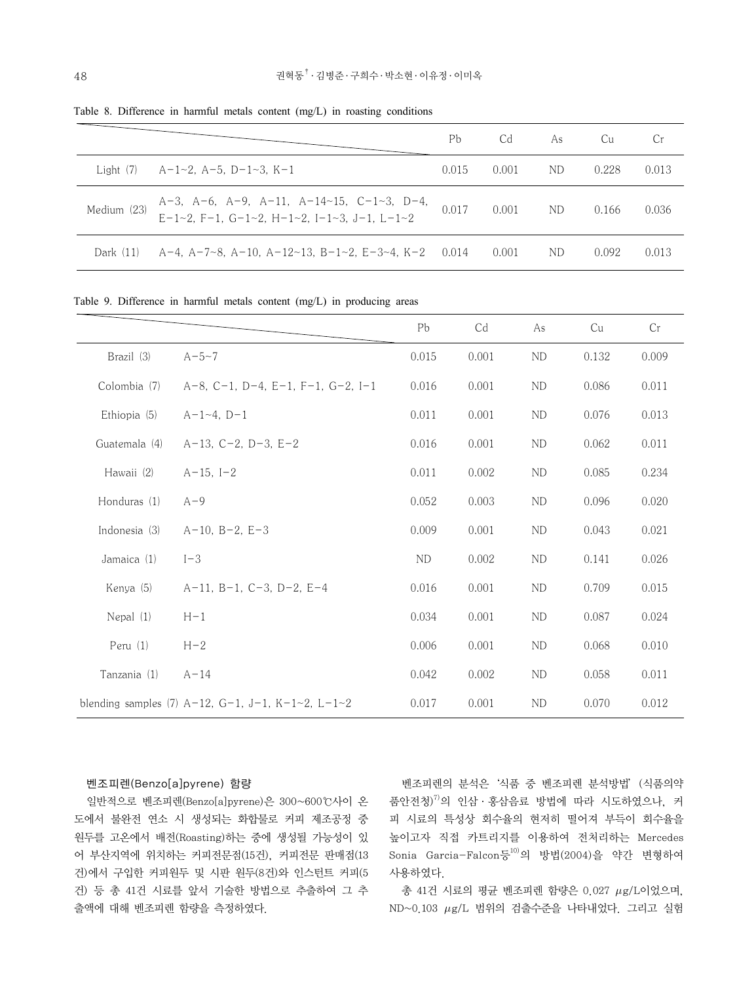|             |                                                                                          | Рb    | Cd    | As  | – Cu  | Cr    |
|-------------|------------------------------------------------------------------------------------------|-------|-------|-----|-------|-------|
| Light (7)   | A-1~2, A-5, D-1~3, K-1                                                                   | 0.015 | 0.001 | ND. | 0.228 | 0.013 |
| Medium (23) | A-3, A-6, A-9, A-11, A-14~15, C-1~3, D-4,<br>E-1~2, F-1, G-1~2, H-1~2, I-1~3, J-1, L-1~2 | 0.017 | 0.001 | ND. | 0.166 | 0.036 |
| Dark (11)   | A-4, A-7~8, A-10, A-12~13, B-1~2, E-3~4, K-2 0.014                                       |       | 0.001 | ND. | 0.092 | 0.013 |

Table 8. Difference in harmful metals content (mg/L) in roasting conditions

Table 9. Difference in harmful metals content (mg/L) in producing areas

|               |                                                   | Pb             | Cd    | As         | Cu    | Cr    |
|---------------|---------------------------------------------------|----------------|-------|------------|-------|-------|
| Brazil (3)    | $A - 5 - 7$                                       | 0.015          | 0.001 | <b>ND</b>  | 0.132 | 0.009 |
| Colombia (7)  | $A-8$ , C-1, D-4, E-1, F-1, G-2, I-1              | 0.016          | 0.001 | ND         | 0.086 | 0.011 |
| Ethiopia (5)  | $A-1-4, D-1$                                      | 0.011          | 0.001 | ND         | 0.076 | 0.013 |
| Guatemala (4) | $A-13$ , $C-2$ , $D-3$ , $E-2$                    | 0.016          | 0.001 | ND         | 0.062 | 0.011 |
| Hawaii (2)    | $A-15, I-2$                                       | 0.011          | 0.002 | ND         | 0.085 | 0.234 |
| Honduras (1)  | $A-9$                                             | 0.052          | 0.003 | ${\rm ND}$ | 0.096 | 0.020 |
| Indonesia (3) | $A-10$ , $B-2$ , $E-3$                            | 0.009          | 0.001 | <b>ND</b>  | 0.043 | 0.021 |
| Jamaica (1)   | $I-3$                                             | N <sub>D</sub> | 0.002 | ND         | 0.141 | 0.026 |
| Kenya (5)     | $A-11$ , $B-1$ , $C-3$ , $D-2$ , $E-4$            | 0.016          | 0.001 | $\rm ND$   | 0.709 | 0.015 |
| Nepal $(1)$   | $H-1$                                             | 0.034          | 0.001 | <b>ND</b>  | 0.087 | 0.024 |
| Peru (1)      | $H-2$                                             | 0.006          | 0.001 | <b>ND</b>  | 0.068 | 0.010 |
| Tanzania (1)  | $A - 14$                                          | 0.042          | 0.002 | <b>ND</b>  | 0.058 | 0.011 |
|               | blending samples (7) A-12, G-1, J-1, K-1~2, L-1~2 | 0.017          | 0.001 | <b>ND</b>  | 0.070 | 0.012 |

#### 벤조피렌(Benzo[a]pyrene) 함량

일반적으로 벤조피렌(Benzo[a]pyrene)은 300~600℃사이 온 도에서 불완전 연소 시 생성되는 화합물로 커피 제조공정 중 원두를 고온에서 배전(Roasting)하는 중에 생성될 가능성이 있 어 부산지역에 위치하는 커피전문점(15건), 커피전문 판매점(13 건)에서 구입한 커피원두 및 시판 원두(8건)와 인스턴트 커피(5 건) 등 총 41건 시료를 앞서 기술한 방법으로 추출하여 그 추 출액에 대해 벤조피렌 함량을 측정하였다.

벤조피렌의 분석은'식품 중 벤조피렌 분석방법'(식품의약 품안전청)7)의 인삼·홍삼음료 방법에 따라 시도하였으나, 커 피 시료의 특성상 회수율의 현저히 떨어져 부득이 회수율을 높이고자 직접 카트리지를 이용하여 전처리하는 Mercedes Sonia Garcia-Falcon등10)의 방법(2004)을 약간 변형하여 사용하였다.

총 41건 시료의 평균 벤조피렌 함량은 0.027  $\mu$ g/L이었으며,  $ND \sim 0.103$   $\mu$ g/L 범위의 검출수준을 나타내었다. 그리고 실험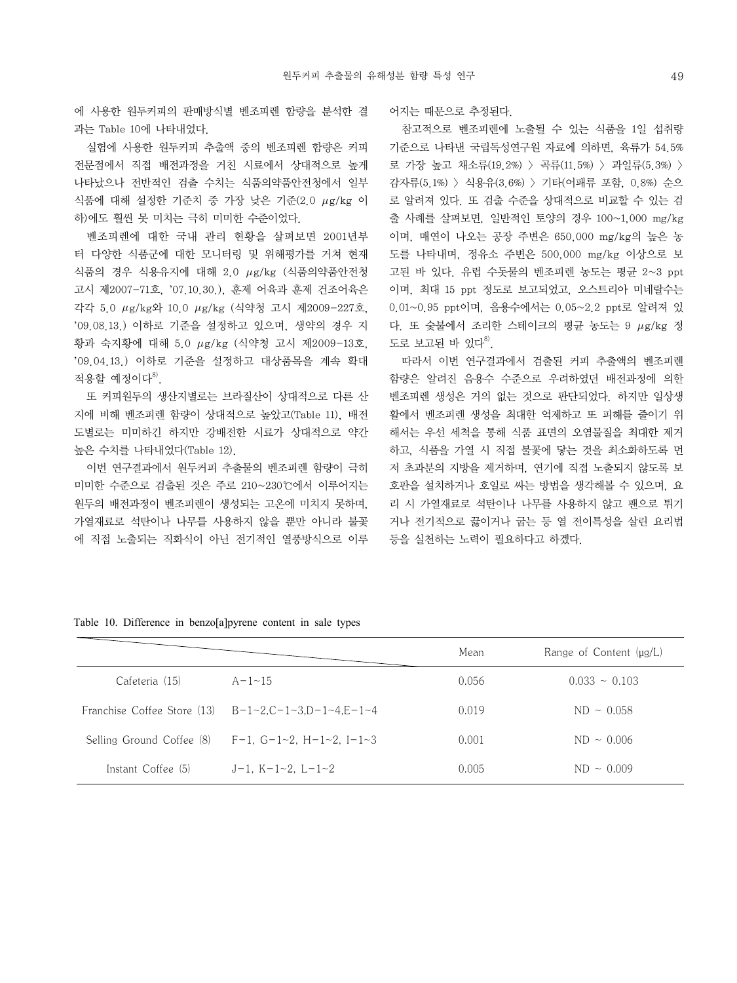에 사용한 원두커피의 판매방식별 벤조피렌 함량을 분석한 결 과는 Table 10에 나타내었다.

실험에 사용한 원두커피 추출액 중의 벤조피렌 함량은 커피 전문점에서 직접 배전과정을 거친 시료에서 상대적으로 높게 나타났으나 전반적인 검출 수치는 식품의약품안전청에서 일부 식품에 대해 설정한 기준치 중 가장 낮은 기준(2.0  $\mu$ g/kg 이 하)에도 훨씬 못 미치는 극히 미미한 수준이었다.

벤조피렌에 대한 국내 관리 현황을 살펴보면 2001년부 터 다양한 식품군에 대한 모니터링 및 위해평가를 거쳐 현재 식품의 경우 식용유지에 대해 2.0  $\mu$ g/kg (식품의약품안전청 고시 제2007-71호, '07.10.30.), 훈제 어육과 훈제 건조어육은 각각 5.0 g/kg와 10.0 g/kg (식약청 고시 제2009-227호, '09.08.13.) 이하로 기준을 설정하고 있으며, 생약의 경우 지 황과 숙지황에 대해 5.0  $\mu$ g/kg (식약청 고시 제2009-13호, '09.04.13.) 이하로 기준을 설정하고 대상품목을 계속 확대 적용할 예정이다 $^{8}$ .

또 커피원두의 생산지별로는 브라질산이 상대적으로 다른 산 지에 비해 벤조피렌 함량이 상대적으로 높았고(Table 11), 배전 도별로는 미미하긴 하지만 강배전한 시료가 상대적으로 약간 높은 수치를 나타내었다(Table 12).

이번 연구결과에서 원두커피 추출물의 벤조피렌 함량이 극히 미미한 수준으로 검출된 것은 주로 210~230℃에서 이루어지는 원두의 배전과정이 벤조피렌이 생성되는 고온에 미치지 못하며, 가열재료로 석탄이나 나무를 사용하지 않을 뿐만 아니라 불꽃 에 직접 노출되는 직화식이 아닌 전기적인 열풍방식으로 이루 어지는 때문으로 추정된다.

참고적으로 벤조피렌에 노출될 수 있는 식품을 1일 섭취량 기준으로 나타낸 국립독성연구원 자료에 의하면, 육류가 54.5% 로 가장 높고 채소류(19.2%) > 곡류(11.5%) > 과일류(5.3%) > 감자류(5.1%) > 식용유(3.6%) > 기타(어패류 포함, 0.8%) 순으 로 알려져 있다. 또 검출 수준을 상대적으로 비교할 수 있는 검 출 사례를 살펴보면, 일반적인 토양의 경우 100~1,000 mg/kg 이며, 매연이 나오는 공장 주변은 650,000 mg/kg의 높은 농 도를 나타내며, 정유소 주변은 500,000 mg/kg 이상으로 보 고된 바 있다. 유럽 수돗물의 벤조피렌 농도는 평균 2~3 ppt 이며, 최대 15 ppt 정도로 보고되었고, 오스트리아 미네랄수는 0.01~0.95 ppt이며, 음용수에서는 0.05~2.2 ppt로 알려져 있 다. 또 숯불에서 조리한 스테이크의 평균 농도는 9  $\mu$ g/kg 정 도로 보고된 바 있다 $^{8}$ .

따라서 이번 연구결과에서 검출된 커피 추출액의 벤조피렌 함량은 알려진 음용수 수준으로 우려하였던 배전과정에 의한 벤조피렌 생성은 거의 없는 것으로 판단되었다. 하지만 일상생 활에서 벤조피렌 생성을 최대한 억제하고 또 피해를 줄이기 위 해서는 우선 세척을 통해 식품 표면의 오염물질을 최대한 제거 하고, 식품을 가열 시 직접 불꽃에 닿는 것을 최소화하도록 먼 저 초과분의 지방을 제거하며, 연기에 직접 노출되지 않도록 보 호판을 설치하거나 호일로 싸는 방법을 생각해볼 수 있으며, 요 리 시 가열재료로 석탄이나 나무를 사용하지 않고 팬으로 튀기 거나 전기적으로 끓이거나 굽는 등 열 전이특성을 살린 요리법 등을 실천하는 노력이 필요하다고 하겠다.

|                             |                                           | Mean  | Range of Content $\mu$ g/L) |
|-----------------------------|-------------------------------------------|-------|-----------------------------|
| Cafeteria (15)              | $A-1-15$                                  | 0.056 | $0.033 - 0.103$             |
| Franchise Coffee Store (13) | $B-1\sim 2.C-1\sim 3.D-1\sim 4.E-1\sim 4$ | 0.019 | $ND \sim 0.058$             |
| Selling Ground Coffee (8)   | $F-1$ , $G-1-2$ , $H-1-2$ , $I-1-3$       | 0.001 | $ND \sim 0.006$             |
| Instant Coffee (5)          | $J-1$ , K-1~2, L-1~2                      | 0.005 | $ND \sim 0.009$             |

Table 10. Difference in benzo[a]pyrene content in sale types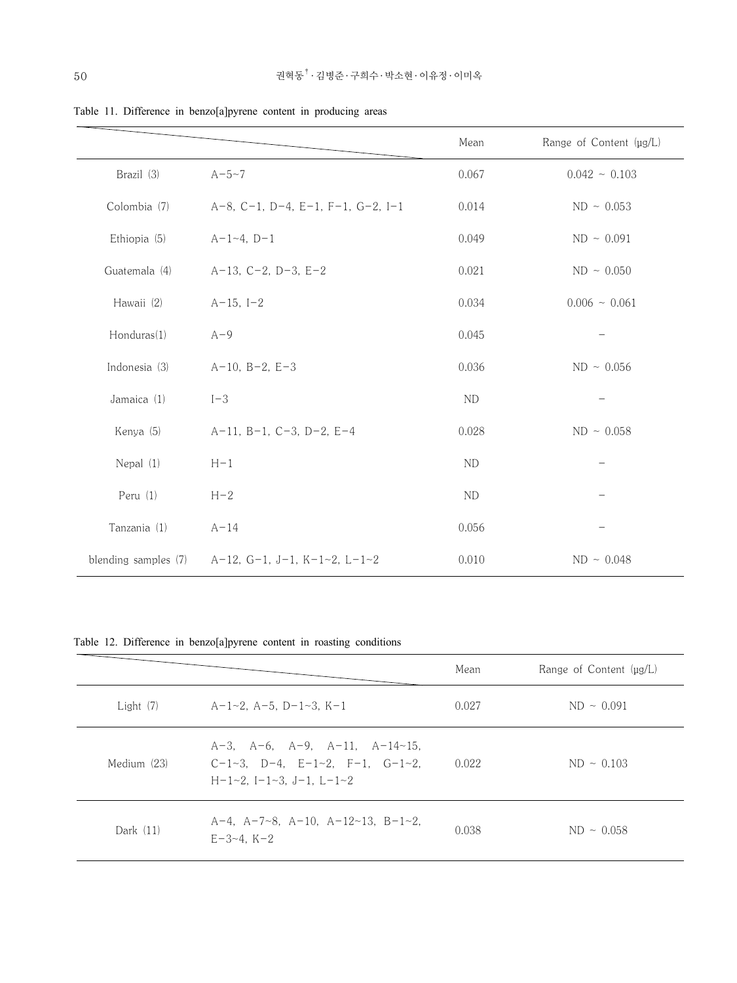|                      |                                        | Mean      | Range of Content (µg/L) |
|----------------------|----------------------------------------|-----------|-------------------------|
| Brazil (3)           | $A - 5 - 7$                            | 0.067     | $0.042 - 0.103$         |
| Colombia (7)         | $A-8$ , C-1, D-4, E-1, F-1, G-2, I-1   | 0.014     | $ND \sim 0.053$         |
| Ethiopia (5)         | $A-1-4, D-1$                           | 0.049     | ND ~ 0.091              |
| Guatemala (4)        | $A-13$ , $C-2$ , $D-3$ , $E-2$         | 0.021     | ND ~ 0.050              |
| Hawaii (2)           | $A-15, I-2$                            | 0.034     | $0.006 - 0.061$         |
| Honduras(1)          | $A-9$                                  | 0.045     |                         |
| Indonesia (3)        | $A-10, B-2, E-3$                       | 0.036     | ND ~ 0.056              |
| Jamaica (1)          | $I-3$                                  | <b>ND</b> |                         |
| Kenya (5)            | $A-11$ , $B-1$ , $C-3$ , $D-2$ , $E-4$ | 0.028     | ND ~ 0.058              |
| Nepal (1)            | $H-1$                                  | <b>ND</b> |                         |
| Peru (1)             | $H-2$                                  | <b>ND</b> |                         |
| Tanzania (1)         | $A-14$                                 | 0.056     |                         |
| blending samples (7) | A-12, G-1, J-1, K-1~2, L-1~2           | 0.010     | ND ~ 0.048              |

Table 11. Difference in benzo[a]pyrene content in producing areas

Table 12. Difference in benzo[a]pyrene content in roasting conditions

|             |                                                                                                                                      | Mean  | Range of Content $\mu$ g/L) |
|-------------|--------------------------------------------------------------------------------------------------------------------------------------|-------|-----------------------------|
| Light $(7)$ | $A-1-2$ , $A-5$ , $D-1-3$ , $K-1$                                                                                                    | 0.027 | $ND \sim 0.091$             |
| Medium (23) | $A-3$ , $A-6$ , $A-9$ , $A-11$ , $A-14-15$ ,<br>$C-1-3$ , $D-4$ , $E-1-2$ , $F-1$ , $G-1-2$ ,<br>$H-1-2$ , $I-1-3$ , $J-1$ , $L-1-2$ | 0.022 | $ND \sim 0.103$             |
| Dark $(11)$ | $A-4$ , $A-7-8$ , $A-10$ , $A-12-13$ , $B-1-2$ ,<br>$E-3-4$ , $K-2$                                                                  | 0.038 | $ND \sim 0.058$             |